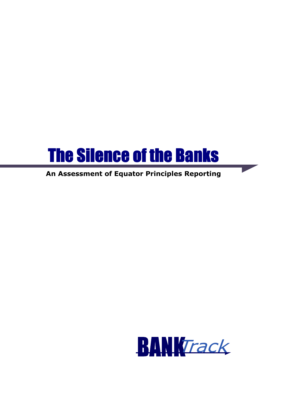

# An Assessment of Equator Principles Reporting

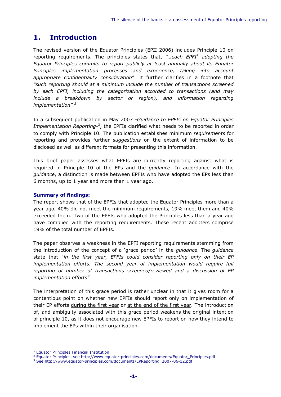## 1. Introduction

The revised version of the Equator Principles (EPII 2006) includes Principle 10 on reporting requirements. The principles states that, "...each EPFI<sup>1</sup> adopting the Equator Principles commits to report publicly at least annually about its Equator Principles implementation processes and experience, taking into account appropriate confidentiality consideration". It further clarifies in a footnote that "such reporting should at a minimum include the number of transactions screened by each EPFI, including the categorization accorded to transactions (and may include a breakdown by sector or region), and information regarding implementation". $2$ 

In a subsequent publication in May 2007 -Guidance to EPFIs on Equator Principles Implementation Reporting-<sup>3</sup>, the EPFIs clarified what needs to be reported in order to comply with Principle 10. The publication establishes minimum requirements for reporting and provides further suggestions on the extent of information to be disclosed as well as different formats for presenting this information.

This brief paper assesses what EPFIs are currently reporting against what is required in Principle 10 of the EPs and the *guidance*. In accordance with the guidance, a distinction is made between EPFIs who have adopted the EPs less than 6 months, up to 1 year and more than 1 year ago.

### Summary of findings:

The report shows that of the EPFIs that adopted the Equator Principles more than a year ago, 40% did not meet the minimum requirements, 19% meet them and 40% exceeded them. Two of the EPFIs who adopted the Principles less than a year ago have complied with the reporting requirements. These recent adopters comprise 19% of the total number of EPFIs.

The paper observes a weakness in the EPFI reporting requirements stemming from the introduction of the concept of a 'grace period' in the *guidance*. The *guidance* state that "in the first year, EPFIs could consider reporting only on their EP implementation efforts. The second year of implementation would require full reporting of number of transactions screened/reviewed and a discussion of EP implementation efforts"

The interpretation of this grace period is rather unclear in that it gives room for a contentious point on whether new EPFIs should report only on implementation of their EP efforts during the first year or at the end of the first year. The introduction of, and ambiguity associated with this grace period weakens the original intention of principle 10, as it does not encourage new EPFIs to report on how they intend to implement the EPs within their organisation.

l.

<sup>&</sup>lt;sup>1</sup> Equator Principles Financial Institution

<sup>&</sup>lt;sup>2</sup> Equator Principles, see http://www.equator-principles.com/documents/Equator\_Principles.pdf

<sup>3</sup> See http://www.equator-principles.com/documents/EPReporting\_2007-06-12.pdf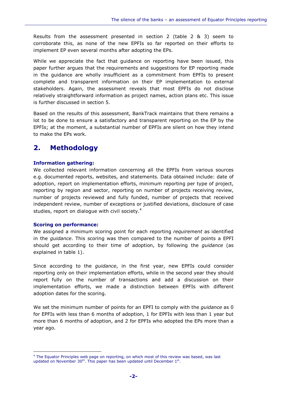Results from the assessment presented in section 2 (table 2 & 3) seem to corroborate this, as none of the new EPFIs so far reported on their efforts to implement EP even several months after adopting the EPs.

While we appreciate the fact that guidance on reporting have been issued, this paper further argues that the requirements and suggestions for EP reporting made in the guidance are wholly insufficient as a commitment from EPFIs to present complete and transparent information on their EP implementation to external stakeholders. Again, the assessment reveals that most EPFIs do not disclose relatively straightforward information as project names, action plans etc. This issue is further discussed in section 5.

Based on the results of this assessment, BankTrack maintains that there remains a lot to be done to ensure a satisfactory and transparent reporting on the EP by the EPFIs; at the moment, a substantial number of EPFIs are silent on how they intend to make the EPs work.

## 2. Methodology

### Information gathering:

We collected relevant information concerning all the EPFIs from various sources e.g. documented reports, websites, and statements. Data obtained include: date of adoption, report on implementation efforts, minimum reporting per type of project, reporting by region and sector, reporting on number of projects receiving review, number of projects reviewed and fully funded, number of projects that received independent review, number of exceptions or justified deviations, disclosure of case studies, report on dialogue with civil society.<sup>4</sup>

### Scoring on performance:

l.

We assigned a minimum scoring point for each reporting *requirement* as identified in the *guidance*. This scoring was then compared to the number of points a EPFI should get according to their time of adoption, by following the *quidance* (as explained in table 1).

Since according to the *guidance*, in the first year, new EPFIs could consider reporting only on their implementation efforts, while in the second year they should report fully on the number of transactions and add a discussion on their implementation efforts, we made a distinction between EPFIs with different adoption dates for the scoring.

We set the minimum number of points for an EPFI to comply with the *quidance* as 0 for EPFIs with less than 6 months of adoption, 1 for EPFIs with less than 1 year but more than 6 months of adoption, and 2 for EPFIs who adopted the EPs more than a year ago.

<sup>&</sup>lt;sup>4</sup> The Equator Principles web page on reporting, on which most of this review was based, was last updated on November  $30<sup>th</sup>$ . This paper has been updated until December  $1<sup>st</sup>$ .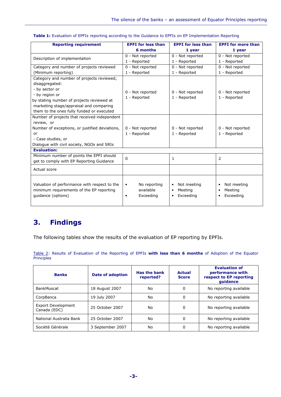| <b>Reporting requirement</b>                                                                                   | <b>EPFI</b> for less than                                        | <b>EPFI</b> for less than                                                  | <b>EPFI</b> for more than                        |
|----------------------------------------------------------------------------------------------------------------|------------------------------------------------------------------|----------------------------------------------------------------------------|--------------------------------------------------|
|                                                                                                                | 6 months                                                         | 1 year                                                                     | 1 year                                           |
|                                                                                                                | 0 - Not reported                                                 | 0 - Not reported                                                           | 0 - Not reported                                 |
| Description of implementation                                                                                  | 1 - Reported                                                     | 1 - Reported                                                               | 1 - Reported                                     |
| Category and number of projects reviewed                                                                       | 0 - Not reported                                                 | 0 - Not reported                                                           | 0 - Not reported                                 |
| (Minimum reporting)                                                                                            | 1 - Reported                                                     | 1 - Reported                                                               | 1 - Reported                                     |
| Category and number of projects reviewed,                                                                      |                                                                  |                                                                            |                                                  |
| disaggregated:                                                                                                 |                                                                  |                                                                            |                                                  |
| - by sector or                                                                                                 | 0 - Not reported                                                 | 0 - Not reported                                                           | 0 - Not reported                                 |
| - by region or                                                                                                 | 1 - Reported                                                     | 1 - Reported                                                               | 1 - Reported                                     |
| by stating number of projects reviewed at                                                                      |                                                                  |                                                                            |                                                  |
| marketing stage/appraisal and comparing                                                                        |                                                                  |                                                                            |                                                  |
| them to the ones fully funded or executed                                                                      |                                                                  |                                                                            |                                                  |
| Number of projects that received independent                                                                   |                                                                  |                                                                            |                                                  |
| review, or                                                                                                     |                                                                  |                                                                            |                                                  |
| Number of exceptions, or justified deviations,                                                                 | 0 - Not reported                                                 | 0 - Not reported                                                           | 0 - Not reported                                 |
| or                                                                                                             | 1 - Reported                                                     | 1 - Reported                                                               | 1 - Reported                                     |
| - Case studies, or                                                                                             |                                                                  |                                                                            |                                                  |
| Dialogue with civil society, NGOs and SRIs                                                                     |                                                                  |                                                                            |                                                  |
| <b>Evaluation:</b>                                                                                             |                                                                  |                                                                            |                                                  |
| Minimum number of points the EPFI should                                                                       | $\Omega$                                                         | 1                                                                          | 2                                                |
| get to comply with EP Reporting Guidance                                                                       |                                                                  |                                                                            |                                                  |
| Actual score                                                                                                   |                                                                  |                                                                            |                                                  |
| Valuation of performance with respect to the<br>minimum requirements of the EP reporting<br>guidance (options) | No reporting<br>$\bullet$<br>available<br>Exceeding<br>$\bullet$ | Not meeting<br>$\bullet$<br>Meeting<br>$\bullet$<br>Exceeding<br>$\bullet$ | Not meeting<br>$\bullet$<br>Meeting<br>Exceeding |

#### Table 1: Evaluation of EPFIs reporting according to the Guidance to EPFIs on EP Implementation Reporting

# 3. Findings

The following tables show the results of the evaluation of EP reporting by EPFIs.

Table 2: Results of Evaluation of the Reporting of EPFIs with less than 6 months of Adoption of the Equator **Principles** 

| <b>Banks</b>                       | <b>Date of adoption</b> | <b>Has the bank</b><br>reported? | Actual<br><b>Score</b> | <b>Evaluation of</b><br>performance with<br>respect to EP reporting<br>quidance |
|------------------------------------|-------------------------|----------------------------------|------------------------|---------------------------------------------------------------------------------|
| BankMuscat                         | 18 August 2007          | No                               | 0                      | No reporting available                                                          |
| CorpBanca                          | 19 July 2007            | No                               | 0                      | No reporting available                                                          |
| Export Development<br>Canada (EDC) | 25 October 2007         | No                               | 0                      | No reporting available                                                          |
| National Australia Bank            | 25 October 2007         | No                               | 0                      | No reporting available                                                          |
| Société Générale                   | 3 September 2007        | No                               | 0                      | No reporting available                                                          |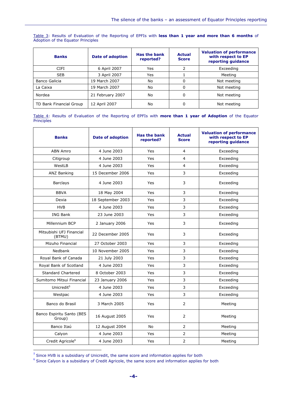Table 3: Results of Evaluation of the Reporting of EPFIs with less than 1 year and more than 6 months of **Adoption of the Equator Principles** 

| <b>Banks</b>            | <b>Date of adoption</b> | <b>Has the bank</b><br>reported? | <b>Actual</b><br><b>Score</b> | <b>Valuation of performance</b><br>with respect to EP<br>reporting guidance |
|-------------------------|-------------------------|----------------------------------|-------------------------------|-----------------------------------------------------------------------------|
| <b>CIFI</b>             | 6 April 2007            | Yes                              |                               | Exceeding                                                                   |
| <b>SEB</b>              | 3 April 2007            | Yes                              |                               | Meeting                                                                     |
| Banco Galicia           | 19 March 2007           | No                               | 0                             | Not meeting                                                                 |
| La Caixa                | 19 March 2007           | No                               | 0                             | Not meeting                                                                 |
| Nordea                  | 21 February 2007        | No                               | 0                             | Not meeting                                                                 |
| TD Bank Financial Group | 12 April 2007           | No                               | 0                             | Not meeting                                                                 |

Table 4: Results of Evaluation of the Reporting of EPFIs with more than 1 year of Adoption of the Equator Principles

| <b>Banks</b>                        | <b>Date of adoption</b> | <b>Has the bank</b><br><b>Actual</b><br>reported?<br><b>Score</b> |                | <b>Valuation of performance</b><br>with respect to EP<br>reporting guidance |
|-------------------------------------|-------------------------|-------------------------------------------------------------------|----------------|-----------------------------------------------------------------------------|
| <b>ABN Amro</b>                     | 4 June 2003             | Yes                                                               | 4              | Exceeding                                                                   |
| Citigroup                           | 4 June 2003             | Yes                                                               | 4              | Exceeding                                                                   |
| WestLB                              | 4 June 2003             | Yes                                                               | 4              | Exceeding                                                                   |
| ANZ Banking                         | 15 December 2006        | Yes                                                               | 3              | Exceeding                                                                   |
| <b>Barclays</b>                     | 4 June 2003             | Yes                                                               | 3              | Exceeding                                                                   |
| <b>BBVA</b>                         | 18 May 2004             | Yes                                                               | 3              | Exceeding                                                                   |
| Dexia                               | 18 September 2003       | Yes                                                               | 3              | Exceeding                                                                   |
| <b>HVB</b>                          | 4 June 2003             | Yes                                                               | 3              | Exceeding                                                                   |
| <b>ING Bank</b>                     | 23 June 2003            | Yes                                                               | 3              | Exceeding                                                                   |
| Millennium BCP                      | 2 January 2006          | Yes                                                               | 3              | Exceeding                                                                   |
| Mitsubishi UFJ Financial<br>(BTMU)  | 22 December 2005        | Yes                                                               | 3              | Exceeding                                                                   |
| Mizuho Financial                    | 27 October 2003         | Yes                                                               | 3              | Exceeding                                                                   |
| Nedbank                             | 10 November 2005        | Yes                                                               | 3              | Exceeding                                                                   |
| Royal Bank of Canada                | 21 July 2003            | Yes                                                               | 3              | Exceeding                                                                   |
| Royal Bank of Scotland              | 4 June 2003             | Yes                                                               | 3              | Exceeding                                                                   |
| <b>Standard Chartered</b>           | 8 October 2003          | Yes                                                               | 3              | Exceeding                                                                   |
| Sumitomo Mitsui Financial           | 23 January 2006         | Yes                                                               | 3              | Exceeding                                                                   |
| Unicredit <sup>5</sup>              | 4 June 2003             | Yes                                                               | 3              | Exceeding                                                                   |
| Westpac                             | 4 June 2003             | Yes                                                               | 3              | Exceeding                                                                   |
| Banco do Brasil                     | 3 March 2005            | Yes                                                               | 2              | Meeting                                                                     |
| Banco Espiritu Santo (BES<br>Group) | 16 August 2005          | Yes                                                               | $\overline{2}$ | Meeting                                                                     |
| Banco Itaú                          | 12 August 2004          | <b>No</b>                                                         | 2              | Meeting                                                                     |
| Calyon                              | 4 June 2003             | Yes                                                               | $\overline{2}$ | Meeting                                                                     |
| Credit Agricole <sup>6</sup>        | 4 June 2003             | Yes                                                               | $\overline{2}$ | Meeting                                                                     |

 $<sup>5</sup>$  Since HVB is a subsidiary of Unicredit, the same score and information applies for both</sup>

l.

 $^6$  Since Calyon is a subsidiary of Credit Agricole, the same score and information applies for both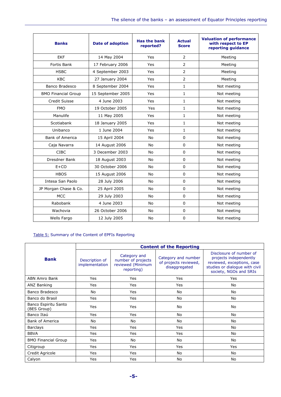| <b>Banks</b>               | <b>Date of adoption</b> | <b>Has the bank</b><br>reported? | <b>Actual</b><br><b>Score</b> | <b>Valuation of performance</b><br>with respect to EP<br>reporting guidance |
|----------------------------|-------------------------|----------------------------------|-------------------------------|-----------------------------------------------------------------------------|
| <b>EKF</b>                 | 14 May 2004             | Yes                              | $\overline{2}$                | Meeting                                                                     |
| <b>Fortis Bank</b>         | 17 February 2006        | Yes                              | $\overline{2}$                | Meeting                                                                     |
| <b>HSBC</b>                | 4 September 2003        | Yes                              | $\overline{2}$                | Meeting                                                                     |
| <b>KBC</b>                 | 27 January 2004         | Yes                              | $\overline{2}$                | Meeting                                                                     |
| Banco Bradesco             | 8 September 2004        | Yes                              | $\mathbf{1}$                  | Not meeting                                                                 |
| <b>BMO Financial Group</b> | 15 September 2005       | Yes                              | 1                             | Not meeting                                                                 |
| Credit Suisse              | 4 June 2003             | Yes                              | $\mathbf{1}$                  | Not meeting                                                                 |
| <b>FMO</b>                 | 19 October 2005         | Yes                              | $\mathbf{1}$                  | Not meeting                                                                 |
| Manulife                   | 11 May 2005             | Yes                              | $\mathbf{1}$                  | Not meeting                                                                 |
| Scotiabank                 | 18 January 2005         | Yes                              | $\mathbf{1}$                  | Not meeting                                                                 |
| Unibanco                   | 1 June 2004             | Yes                              | $\mathbf{1}$                  | Not meeting                                                                 |
| <b>Bank of America</b>     | 15 April 2004           | <b>No</b>                        | 0                             | Not meeting                                                                 |
| Caja Navarra               | 14 August 2006          | <b>No</b>                        | $\Omega$                      | Not meeting                                                                 |
| <b>CIBC</b>                | 3 December 2003         | <b>No</b>                        | $\Omega$                      | Not meeting                                                                 |
| Dresdner Bank              | 18 August 2003          | No.                              | 0                             | Not meeting                                                                 |
| $E+CO$                     | 30 October 2006         | <b>No</b>                        | $\Omega$                      | Not meeting                                                                 |
| <b>HBOS</b>                | 15 August 2006          | <b>No</b>                        | $\Omega$                      | Not meeting                                                                 |
| Intesa San Paolo           | 28 July 2006            | <b>No</b>                        | $\Omega$                      | Not meeting                                                                 |
| JP Morgan Chase & Co.      | 25 April 2005           | No                               | 0                             | Not meeting                                                                 |
| <b>MCC</b>                 | 29 July 2003            | <b>No</b>                        | $\Omega$                      | Not meeting                                                                 |
| Rabobank                   | 4 June 2003             | <b>No</b>                        | 0                             | Not meeting                                                                 |
| Wachovia                   | 26 October 2006         | <b>No</b>                        | $\Omega$                      | Not meeting                                                                 |
| Wells Fargo                | 12 July 2005            | No                               | 0                             | Not meeting                                                                 |

### Table 5: Summary of the Content of EPFIs Reporting

|                                     | <b>Content of the Reporting</b>  |                                                                       |                                                               |                                                                                                                                             |  |
|-------------------------------------|----------------------------------|-----------------------------------------------------------------------|---------------------------------------------------------------|---------------------------------------------------------------------------------------------------------------------------------------------|--|
| <b>Bank</b>                         | Description of<br>implementation | Category and<br>number of projects<br>reviewed (Minimum<br>reporting) | Category and number<br>of projects reviewed,<br>disaggregated | Disclosure of number of<br>projects independently<br>reviewed, exceptions, case<br>studies or dialogue with civil<br>society, NGOs and SRIs |  |
| ABN Amro Bank                       | Yes                              | Yes                                                                   | <b>Yes</b>                                                    | Yes                                                                                                                                         |  |
| ANZ Banking                         | Yes                              | Yes                                                                   | Yes                                                           | No                                                                                                                                          |  |
| Banco Bradesco                      | No                               | Yes                                                                   | No                                                            | No                                                                                                                                          |  |
| Banco do Brasil                     | Yes                              | Yes                                                                   | No                                                            | No                                                                                                                                          |  |
| Banco Espiritu Santo<br>(BES Group) | Yes                              | Yes                                                                   | No                                                            | No                                                                                                                                          |  |
| Banco Itaú                          | Yes                              | Yes                                                                   | No                                                            | No                                                                                                                                          |  |
| <b>Bank of America</b>              | No                               | No                                                                    | No                                                            | No                                                                                                                                          |  |
| <b>Barclays</b>                     | Yes                              | Yes                                                                   | Yes                                                           | No                                                                                                                                          |  |
| <b>BBVA</b>                         | Yes                              | Yes                                                                   | Yes                                                           | No                                                                                                                                          |  |
| <b>BMO Financial Group</b>          | Yes                              | No                                                                    | No                                                            | No                                                                                                                                          |  |
| Citigroup                           | Yes                              | Yes                                                                   | Yes                                                           | Yes                                                                                                                                         |  |
| Credit Agricole                     | Yes                              | Yes                                                                   | No                                                            | No                                                                                                                                          |  |
| Calyon                              | Yes                              | Yes                                                                   | No                                                            | No                                                                                                                                          |  |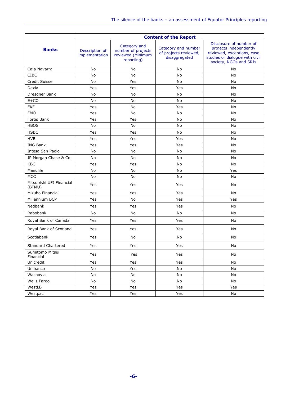|                                    | <b>Content of the Report</b>     |                                                                       |                                                               |                                                                                                                                             |  |
|------------------------------------|----------------------------------|-----------------------------------------------------------------------|---------------------------------------------------------------|---------------------------------------------------------------------------------------------------------------------------------------------|--|
| <b>Banks</b>                       | Description of<br>implementation | Category and<br>number of projects<br>reviewed (Minimum<br>reporting) | Category and number<br>of projects reviewed,<br>disaggregated | Disclosure of number of<br>projects independently<br>reviewed, exceptions, case<br>studies or dialogue with civil<br>society, NGOs and SRIs |  |
| Caja Navarra                       | No                               | No                                                                    | No                                                            | No                                                                                                                                          |  |
| <b>CIBC</b>                        | No                               | No                                                                    | No                                                            | <b>No</b>                                                                                                                                   |  |
| Credit Suisse                      | No                               | Yes                                                                   | No                                                            | No                                                                                                                                          |  |
| Dexia                              | Yes                              | Yes                                                                   | Yes                                                           | No                                                                                                                                          |  |
| Dresdner Bank                      | No                               | No                                                                    | No                                                            | No                                                                                                                                          |  |
| $E+CO$                             | No                               | No                                                                    | No                                                            | No                                                                                                                                          |  |
| <b>EKF</b>                         | Yes                              | No                                                                    | Yes                                                           | No                                                                                                                                          |  |
| <b>FMO</b>                         | Yes                              | No                                                                    | No                                                            | No                                                                                                                                          |  |
| <b>Fortis Bank</b>                 | Yes                              | Yes                                                                   | No                                                            | No                                                                                                                                          |  |
| <b>HBOS</b>                        | No                               | No                                                                    | No                                                            | No                                                                                                                                          |  |
| <b>HSBC</b>                        | Yes                              | Yes                                                                   | No                                                            | No                                                                                                                                          |  |
| <b>HVB</b>                         | Yes                              | Yes                                                                   | Yes                                                           | No                                                                                                                                          |  |
| <b>ING Bank</b>                    | Yes                              | Yes                                                                   | Yes                                                           | No                                                                                                                                          |  |
| Intesa San Paolo                   | No                               | No                                                                    | No                                                            | No                                                                                                                                          |  |
| JP Morgan Chase & Co.              | No                               | No                                                                    | No                                                            | No                                                                                                                                          |  |
| KBC                                | Yes                              | Yes                                                                   | No                                                            | No                                                                                                                                          |  |
| Manulife                           | No                               | No                                                                    | No                                                            | Yes                                                                                                                                         |  |
| <b>MCC</b>                         | No                               | No                                                                    | No                                                            | No                                                                                                                                          |  |
| Mitsubishi UFJ Financial<br>(BTMU) | Yes                              | Yes                                                                   | Yes                                                           | No                                                                                                                                          |  |
| Mizuho Financial                   | Yes                              | Yes                                                                   | Yes                                                           | <b>No</b>                                                                                                                                   |  |
| Millennium BCP                     | Yes                              | No                                                                    | Yes                                                           | Yes                                                                                                                                         |  |
| Nedbank                            | Yes                              | Yes                                                                   | Yes                                                           | No                                                                                                                                          |  |
| Rabobank                           | No                               | No                                                                    | No                                                            | No                                                                                                                                          |  |
| Royal Bank of Canada               | Yes                              | Yes                                                                   | Yes                                                           | No                                                                                                                                          |  |
| Royal Bank of Scotland             | Yes                              | Yes                                                                   | Yes                                                           | No                                                                                                                                          |  |
| Scotiabank                         | Yes                              | No                                                                    | No                                                            | No                                                                                                                                          |  |
| Standard Chartered                 | Yes                              | Yes                                                                   | Yes                                                           | No                                                                                                                                          |  |
| Sumitomo Mitsui<br>Financial       | Yes                              | Yes                                                                   | Yes                                                           | No                                                                                                                                          |  |
| Unicredit                          | Yes                              | Yes                                                                   | Yes                                                           | No                                                                                                                                          |  |
| Unibanco                           | No                               | Yes                                                                   | No                                                            | No                                                                                                                                          |  |
| Wachovia                           | No                               | No                                                                    | No                                                            | No                                                                                                                                          |  |
| Wells Fargo                        | No                               | No                                                                    | No                                                            | No                                                                                                                                          |  |
| WestLB                             | Yes                              | Yes                                                                   | Yes                                                           | Yes                                                                                                                                         |  |
| Westpac                            | Yes                              | Yes                                                                   | Yes                                                           | No                                                                                                                                          |  |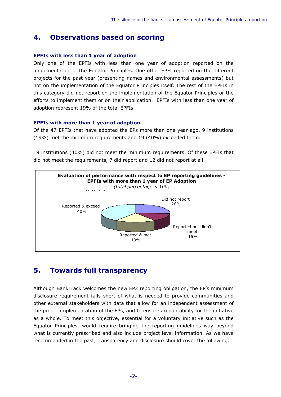### 4. Observations based on scoring

#### EPFIs with less than 1 year of adoption

Only one of the EPFIs with less than one year of adoption reported on the implementation of the Equator Principles. One other EPFI reported on the different projects for the past year (presenting names and environmental assessments) but not on the implementation of the Equator Principles itself. The rest of the EPFIs in this category did not report on the implementation of the Equator Principles or the efforts to implement them or on their application. EPFIs with less than one year of adoption represent 19% of the total EPFIs.

#### EPFIs with more than 1 year of adoption

Of the 47 EPFIs that have adopted the EPs more than one year ago, 9 institutions (19%) met the minimum requirements and 19 (40%) exceeded them.

19 institutions (40%) did not meet the minimum requirements. Of these EPFIs that did not meet the requirements, 7 did report and 12 did not report at all.



### 5. Towards full transparency

Although BankTrack welcomes the new EP2 reporting obligation, the EP's minimum disclosure requirement falls short of what is needed to provide communities and other external stakeholders with data that allow for an independent assessment of the proper implementation of the EPs, and to ensure accountability for the initiative as a whole. To meet this objective, essential for a voluntary initiative such as the Equator Principles, would require bringing the reporting guidelines way beyond what is currently prescribed and also include project level information. As we have recommended in the past, transparency and disclosure should cover the following: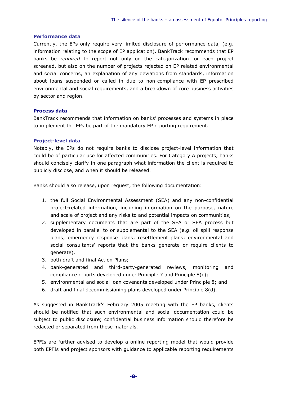#### Performance data

Currently, the EPs only require very limited disclosure of performance data, (e.g. information relating to the scope of EP application). BankTrack recommends that EP banks be required to report not only on the categorization for each project screened, but also on the number of projects rejected on EP related environmental and social concerns, an explanation of any deviations from standards, information about loans suspended or called in due to non-compliance with EP prescribed environmental and social requirements, and a breakdown of core business activities by sector and region.

### Process data

BankTrack recommends that information on banks' processes and systems in place to implement the EPs be part of the mandatory EP reporting requirement.

#### Project-level data

Notably, the EPs do not require banks to disclose project-level information that could be of particular use for affected communities. For Category A projects, banks should concisely clarify in one paragraph what information the client is required to publicly disclose, and when it should be released.

Banks should also release, upon request, the following documentation:

- 1. the full Social Environmental Assessment (SEA) and any non-confidential project-related information, including information on the purpose, nature and scale of project and any risks to and potential impacts on communities;
- 2. supplementary documents that are part of the SEA or SEA process but developed in parallel to or supplemental to the SEA (e.g. oil spill response plans; emergency response plans; resettlement plans; environmental and social consultants' reports that the banks generate or require clients to generate).
- 3. both draft and final Action Plans;
- 4. bank-generated and third-party-generated reviews, monitoring and compliance reports developed under Principle 7 and Principle 8(c);
- 5. environmental and social loan covenants developed under Principle 8; and
- 6. draft and final decommissioning plans developed under Principle 8(d).

As suggested in BankTrack's February 2005 meeting with the EP banks, clients should be notified that such environmental and social documentation could be subject to public disclosure; confidential business information should therefore be redacted or separated from these materials.

EPFIs are further advised to develop a online reporting model that would provide both EPFIs and project sponsors with guidance to applicable reporting requirements